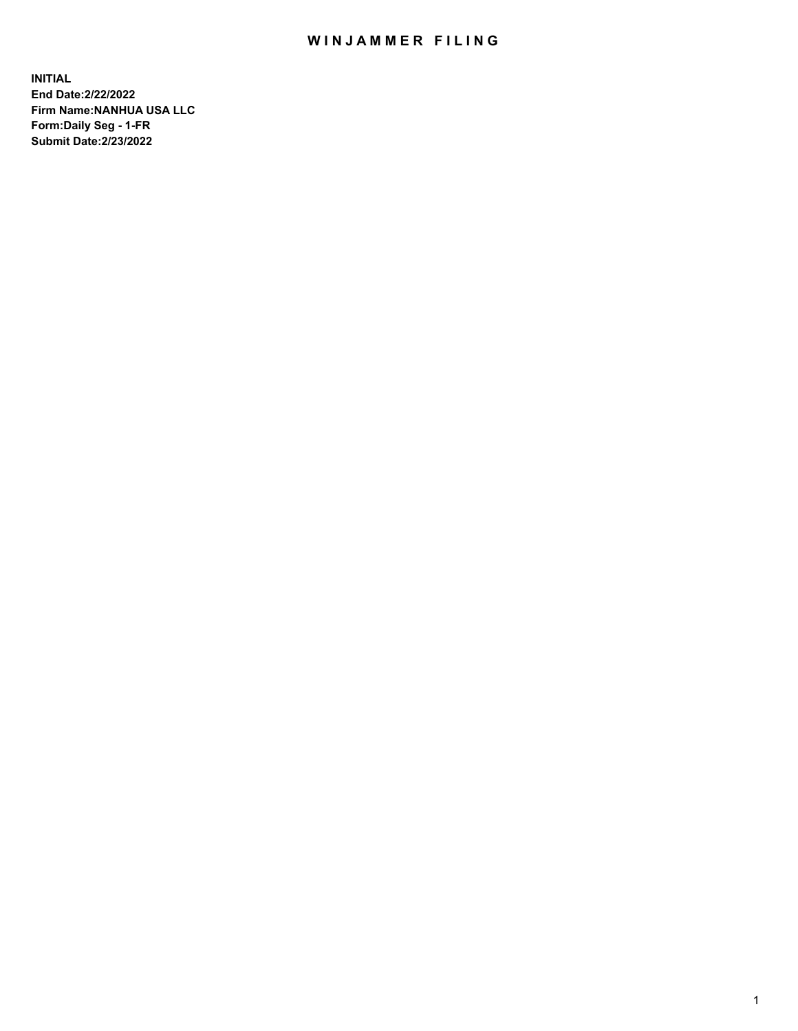## WIN JAMMER FILING

**INITIAL End Date:2/22/2022 Firm Name:NANHUA USA LLC Form:Daily Seg - 1-FR Submit Date:2/23/2022**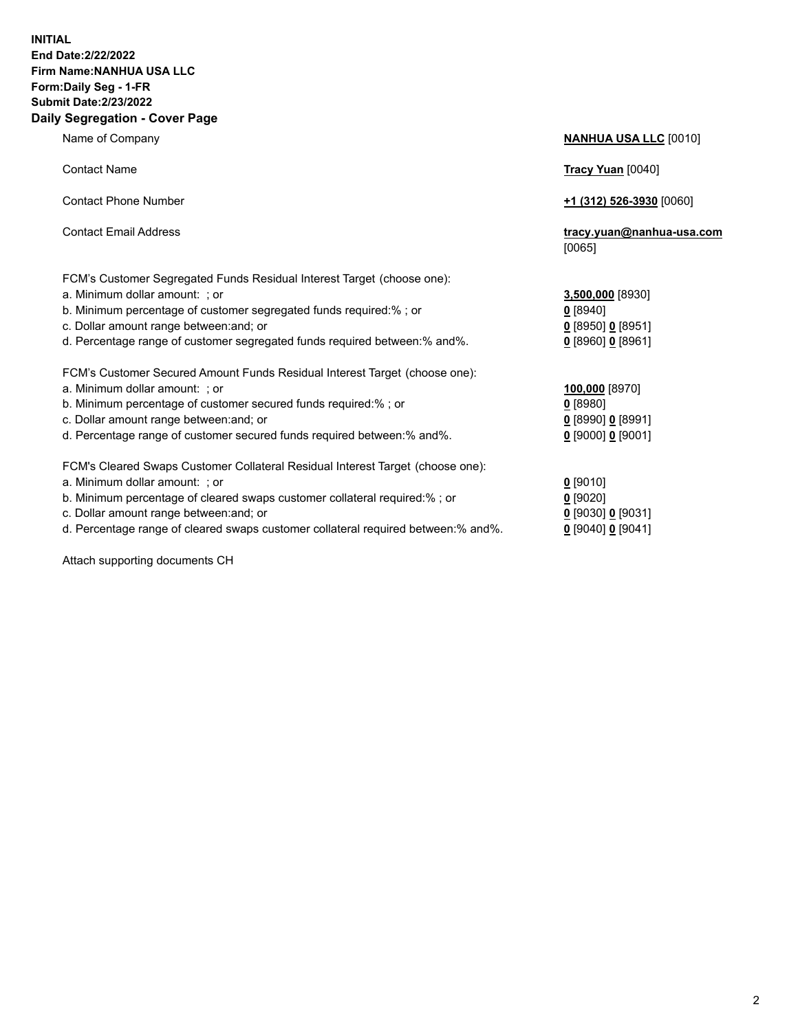## **INITIAL End Date:2/22/2022 Firm Name:NANHUA USA LLC Form:Daily Seg - 1-FR Submit Date:2/23/2022 Daily Segregation - Cover Page**

Name of Company **NANHUA USA LLC** [0010] Contact Name **Tracy Yuan** [0040] Contact Phone Number **+1 (312) 526-3930** [0060] Contact Email Address **tracy.yuan@nanhua-usa.com** [0065] FCM's Customer Segregated Funds Residual Interest Target (choose one): a. Minimum dollar amount: ; or **3,500,000** [8930] b. Minimum percentage of customer segregated funds required:% ; or **0** [8940] c. Dollar amount range between:and; or **0** [8950] **0** [8951] d. Percentage range of customer segregated funds required between:% and%. **0** [8960] **0** [8961] FCM's Customer Secured Amount Funds Residual Interest Target (choose one): a. Minimum dollar amount: ; or **100,000** [8970] b. Minimum percentage of customer secured funds required:% ; or **0** [8980] c. Dollar amount range between:and; or **0** [8990] **0** [8991] d. Percentage range of customer secured funds required between:% and%. **0** [9000] **0** [9001] FCM's Cleared Swaps Customer Collateral Residual Interest Target (choose one): a. Minimum dollar amount: ; or **0** [9010] b. Minimum percentage of cleared swaps customer collateral required:% ; or **0** [9020] c. Dollar amount range between:and; or **0** [9030] **0** [9031] d. Percentage range of cleared swaps customer collateral required between:% and%. **0** [9040] **0** [9041]

Attach supporting documents CH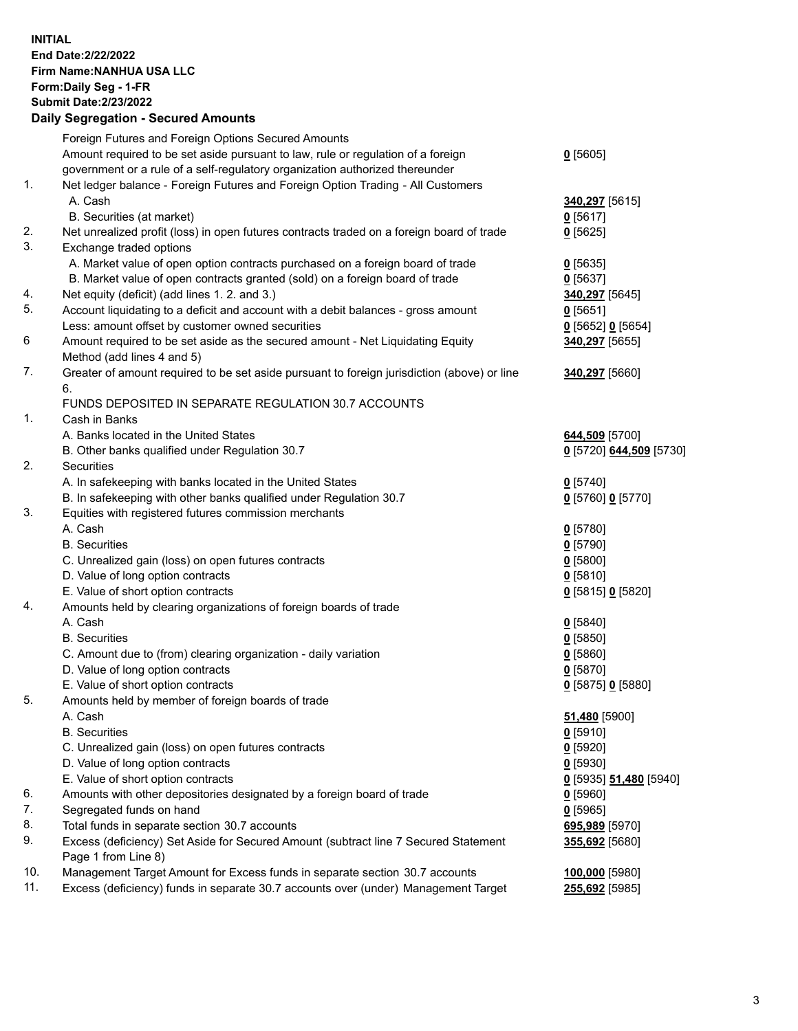**INITIAL End Date:2/22/2022 Firm Name:NANHUA USA LLC Form:Daily Seg - 1-FR Submit Date:2/23/2022**

## **Daily Segregation - Secured Amounts**

|     | Foreign Futures and Foreign Options Secured Amounts                                                        |                         |
|-----|------------------------------------------------------------------------------------------------------------|-------------------------|
|     | Amount required to be set aside pursuant to law, rule or regulation of a foreign                           | $0$ [5605]              |
|     | government or a rule of a self-regulatory organization authorized thereunder                               |                         |
| 1.  | Net ledger balance - Foreign Futures and Foreign Option Trading - All Customers                            |                         |
|     | A. Cash                                                                                                    | 340,297 [5615]          |
|     | B. Securities (at market)                                                                                  | $0$ [5617]              |
| 2.  | Net unrealized profit (loss) in open futures contracts traded on a foreign board of trade                  | $0$ [5625]              |
| 3.  | Exchange traded options                                                                                    |                         |
|     | A. Market value of open option contracts purchased on a foreign board of trade                             | $0$ [5635]              |
|     | B. Market value of open contracts granted (sold) on a foreign board of trade                               | $0$ [5637]              |
| 4.  | Net equity (deficit) (add lines 1. 2. and 3.)                                                              | 340,297 [5645]          |
| 5.  |                                                                                                            |                         |
|     | Account liquidating to a deficit and account with a debit balances - gross amount                          | $0$ [5651]              |
|     | Less: amount offset by customer owned securities                                                           | $Q$ [5652] $Q$ [5654]   |
| 6   | Amount required to be set aside as the secured amount - Net Liquidating Equity                             | 340,297 [5655]          |
|     | Method (add lines 4 and 5)                                                                                 |                         |
| 7.  | Greater of amount required to be set aside pursuant to foreign jurisdiction (above) or line                | 340,297 [5660]          |
|     | 6.                                                                                                         |                         |
|     | FUNDS DEPOSITED IN SEPARATE REGULATION 30.7 ACCOUNTS                                                       |                         |
| 1.  | Cash in Banks                                                                                              |                         |
|     | A. Banks located in the United States                                                                      | 644,509 [5700]          |
|     | B. Other banks qualified under Regulation 30.7                                                             | 0 [5720] 644,509 [5730] |
| 2.  | Securities                                                                                                 |                         |
|     | A. In safekeeping with banks located in the United States                                                  | $0$ [5740]              |
|     | B. In safekeeping with other banks qualified under Regulation 30.7                                         | 0 [5760] 0 [5770]       |
| 3.  | Equities with registered futures commission merchants                                                      |                         |
|     | A. Cash                                                                                                    | $0$ [5780]              |
|     | <b>B.</b> Securities                                                                                       | $0$ [5790]              |
|     | C. Unrealized gain (loss) on open futures contracts                                                        | $0$ [5800]              |
|     | D. Value of long option contracts                                                                          | $0$ [5810]              |
|     | E. Value of short option contracts                                                                         | 0 [5815] 0 [5820]       |
| 4.  | Amounts held by clearing organizations of foreign boards of trade                                          |                         |
|     | A. Cash                                                                                                    | $0$ [5840]              |
|     | <b>B.</b> Securities                                                                                       | $0$ [5850]              |
|     | C. Amount due to (from) clearing organization - daily variation                                            | $0$ [5860]              |
|     | D. Value of long option contracts                                                                          | $0$ [5870]              |
|     | E. Value of short option contracts                                                                         | 0 [5875] 0 [5880]       |
| 5.  | Amounts held by member of foreign boards of trade                                                          |                         |
|     | A. Cash                                                                                                    | 51,480 [5900]           |
|     | <b>B.</b> Securities                                                                                       |                         |
|     |                                                                                                            | $0$ [5910]              |
|     | C. Unrealized gain (loss) on open futures contracts                                                        | $0$ [5920]              |
|     | D. Value of long option contracts                                                                          | $0$ [5930]              |
|     | E. Value of short option contracts                                                                         | 0 [5935] 51,480 [5940]  |
| 6.  | Amounts with other depositories designated by a foreign board of trade                                     | $0$ [5960]              |
| 7.  | Segregated funds on hand                                                                                   | $0$ [5965]              |
| 8.  | Total funds in separate section 30.7 accounts                                                              | 695,989 [5970]          |
| 9.  | Excess (deficiency) Set Aside for Secured Amount (subtract line 7 Secured Statement<br>Page 1 from Line 8) | 355,692 [5680]          |
| 10. | Management Target Amount for Excess funds in separate section 30.7 accounts                                | 100,000 [5980]          |
| 11. | Excess (deficiency) funds in separate 30.7 accounts over (under) Management Target                         | <b>255,692</b> [5985]   |
|     |                                                                                                            |                         |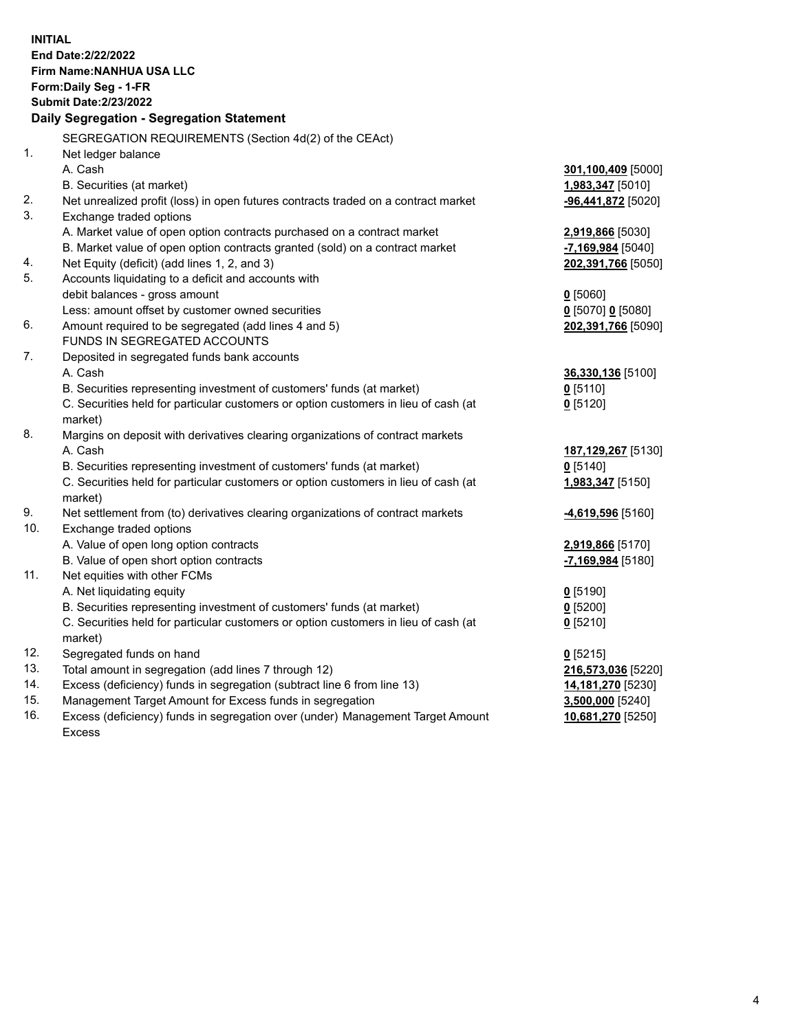| <b>INITIAL</b> | End Date: 2/22/2022<br>Firm Name: NANHUA USA LLC<br>Form: Daily Seg - 1-FR<br><b>Submit Date: 2/23/2022</b><br>Daily Segregation - Segregation Statement |                         |
|----------------|----------------------------------------------------------------------------------------------------------------------------------------------------------|-------------------------|
|                | SEGREGATION REQUIREMENTS (Section 4d(2) of the CEAct)                                                                                                    |                         |
| $\mathbf{1}$ . | Net ledger balance                                                                                                                                       |                         |
|                | A. Cash                                                                                                                                                  | 301,100,409 [5000]      |
|                | B. Securities (at market)                                                                                                                                | <u>1,983,347</u> [5010] |
| 2.             | Net unrealized profit (loss) in open futures contracts traded on a contract market                                                                       | -96,441,872 [5020]      |
| 3.             | Exchange traded options                                                                                                                                  |                         |
|                | A. Market value of open option contracts purchased on a contract market                                                                                  | 2,919,866 [5030]        |
|                | B. Market value of open option contracts granted (sold) on a contract market                                                                             | -7,169,984 [5040]       |
| 4.             | Net Equity (deficit) (add lines 1, 2, and 3)                                                                                                             | 202,391,766 [5050]      |
| 5.             | Accounts liquidating to a deficit and accounts with                                                                                                      |                         |
|                | debit balances - gross amount                                                                                                                            | $0$ [5060]              |
|                | Less: amount offset by customer owned securities                                                                                                         | $0$ [5070] 0 [5080]     |
| 6.             | Amount required to be segregated (add lines 4 and 5)                                                                                                     | 202,391,766 [5090]      |
|                | FUNDS IN SEGREGATED ACCOUNTS                                                                                                                             |                         |
| 7.             | Deposited in segregated funds bank accounts                                                                                                              |                         |
|                | A. Cash                                                                                                                                                  | 36,330,136 [5100]       |
|                | B. Securities representing investment of customers' funds (at market)                                                                                    | $0$ [5110]              |
|                | C. Securities held for particular customers or option customers in lieu of cash (at                                                                      | $0$ [5120]              |
|                | market)                                                                                                                                                  |                         |
| 8.             | Margins on deposit with derivatives clearing organizations of contract markets                                                                           |                         |
|                | A. Cash                                                                                                                                                  | 187, 129, 267 [5130]    |
|                | B. Securities representing investment of customers' funds (at market)                                                                                    | $0$ [5140]              |
|                | C. Securities held for particular customers or option customers in lieu of cash (at                                                                      | 1,983,347 [5150]        |
| 9.             | market)                                                                                                                                                  |                         |
| 10.            | Net settlement from (to) derivatives clearing organizations of contract markets<br>Exchange traded options                                               | -4,619,596 [5160]       |
|                | A. Value of open long option contracts                                                                                                                   | 2,919,866 [5170]        |
|                | B. Value of open short option contracts                                                                                                                  | -7,169,984 [5180]       |
| 11.            | Net equities with other FCMs                                                                                                                             |                         |
|                | A. Net liquidating equity                                                                                                                                | $0$ [5190]              |
|                | B. Securities representing investment of customers' funds (at market)                                                                                    | $0$ [5200]              |
|                | C. Securities held for particular customers or option customers in lieu of cash (at                                                                      | $0$ [5210]              |
|                | market)                                                                                                                                                  |                         |
| 12.            | Segregated funds on hand                                                                                                                                 | $0$ [5215]              |
| 13.            | Total amount in segregation (add lines 7 through 12)                                                                                                     | 216,573,036 [5220]      |
| 14.            | Excess (deficiency) funds in segregation (subtract line 6 from line 13)                                                                                  | 14,181,270 [5230]       |
| 15.            | Management Target Amount for Excess funds in segregation                                                                                                 | 3,500,000 [5240]        |
| 16.            | Excess (deficiency) funds in segregation over (under) Management Target Amount                                                                           | 10,681,270 [5250]       |
|                | <b>Excess</b>                                                                                                                                            |                         |